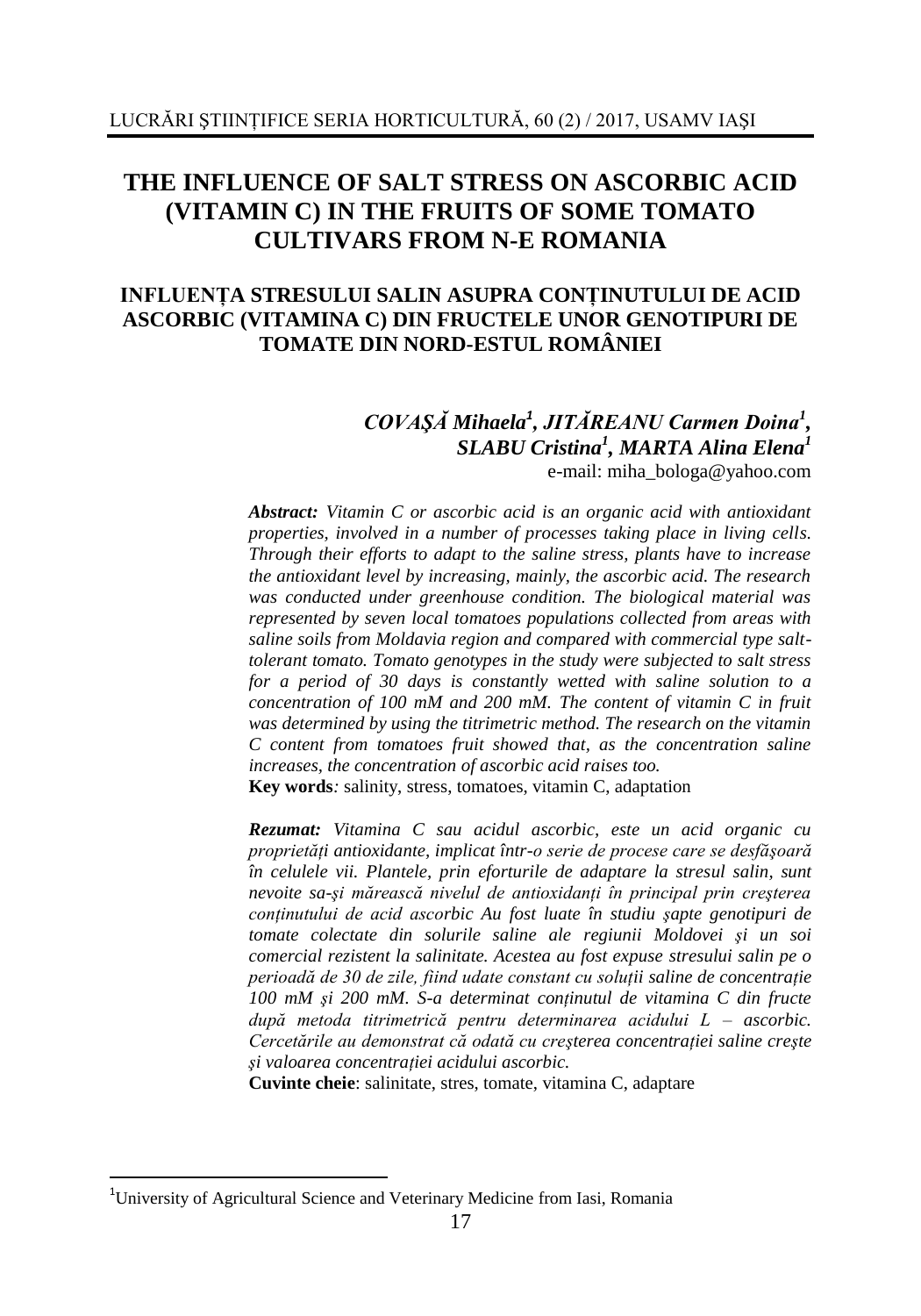# **THE INFLUENCE OF SALT STRESS ON ASCORBIC ACID (VITAMIN C) IN THE FRUITS OF SOME TOMATO CULTIVARS FROM N-E ROMANIA**

## **INFLUENŢA STRESULUI SALIN ASUPRA CONŢINUTULUI DE ACID ASCORBIC (VITAMINA C) DIN FRUCTELE UNOR GENOTIPURI DE TOMATE DIN NORD-ESTUL ROMÂNIEI**

## *COVAŞĂ Mihaela<sup>1</sup> , JITĂREANU Carmen Doina<sup>1</sup> , SLABU Cristina<sup>1</sup> , MARTA Alina Elena<sup>1</sup>* e-mail: miha\_bologa@yahoo.com

*Abstract: Vitamin C or ascorbic acid is an organic acid with antioxidant properties, involved in a number of processes taking place in living cells. Through their efforts to adapt to the saline stress, plants have to increase the antioxidant level by increasing, mainly, the ascorbic acid. The research was conducted under greenhouse condition. The biological material was represented by seven local tomatoes populations collected from areas with saline soils from Moldavia region and compared with commercial type salttolerant tomato. Tomato genotypes in the study were subjected to salt stress for a period of 30 days is constantly wetted with saline solution to a concentration of 100 mM and 200 mM. The content of vitamin C in fruit was determined by using the titrimetric method. The research on the vitamin C content from tomatoes fruit showed that, as the concentration saline increases, the concentration of ascorbic acid raises too.*

**Key words***:* salinity, stress, tomatoes, vitamin C, adaptation

*Rezumat: Vitamina C sau acidul ascorbic, este un acid organic cu proprietăţi antioxidante, implicat într-o serie de procese care se desfăşoară în celulele vii. Plantele, prin eforturile de adaptare la stresul salin, sunt*  nevoite sa-și mărească nivelul de antioxidanți în principal prin cresterea *conţinutului de acid ascorbic Au fost luate în studiu şapte genotipuri de tomate colectate din solurile saline ale regiunii Moldovei şi un soi comercial rezistent la salinitate. Acestea au fost expuse stresului salin pe o perioadă de 30 de zile, fiind udate constant cu soluţii saline de concentraţie 100 mM şi 200 mM. S-a determinat conţinutul de vitamina C din fructe după metoda titrimetrică pentru determinarea acidului L – ascorbic. Cercetările au demonstrat că odată cu creşterea concentraţiei saline creşte şi valoarea concentraţiei acidului ascorbic.*

**Cuvinte cheie**: salinitate, stres, tomate, vitamina C, adaptare

1

<sup>&</sup>lt;sup>1</sup>University of Agricultural Science and Veterinary Medicine from Iasi, Romania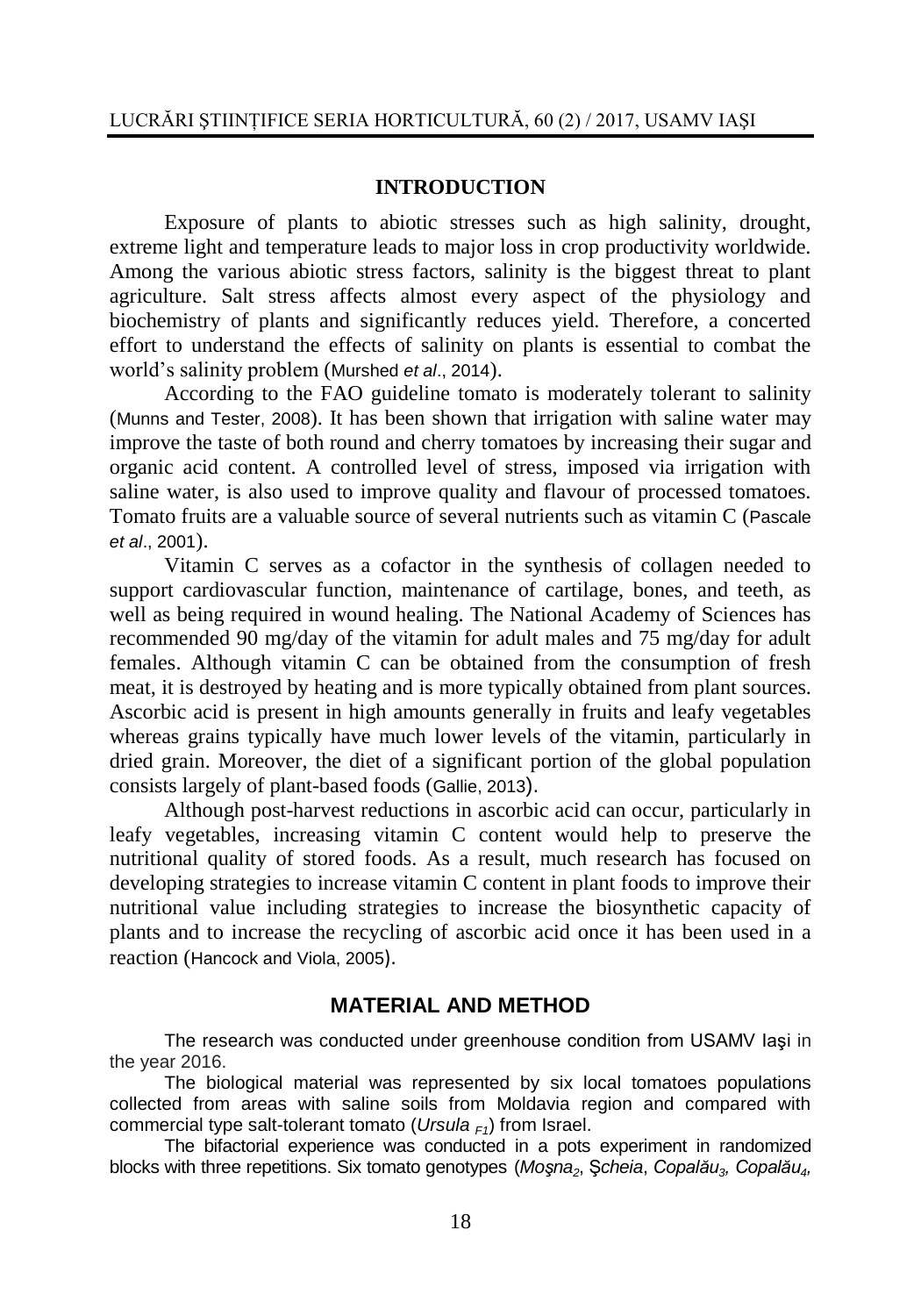#### **INTRODUCTION**

Exposure of plants to abiotic stresses such as high salinity, drought, extreme light and temperature leads to major loss in crop productivity worldwide. Among the various abiotic stress factors, salinity is the biggest threat to plant agriculture. Salt stress affects almost every aspect of the physiology and biochemistry of plants and significantly reduces yield. Therefore, a concerted effort to understand the effects of salinity on plants is essential to combat the world's salinity problem (Murshed *et al*., 2014).

According to the FAO guideline tomato is moderately tolerant to salinity (Munns and Tester, 2008). It has been shown that irrigation with saline water may improve the taste of both round and cherry tomatoes by increasing their sugar and organic acid content. A controlled level of stress, imposed via irrigation with saline water, is also used to improve quality and flavour of processed tomatoes. Tomato fruits are a valuable source of several nutrients such as vitamin C (Pascale *et al*., 2001).

Vitamin C serves as a cofactor in the synthesis of collagen needed to support cardiovascular function, maintenance of cartilage, bones, and teeth, as well as being required in wound healing. The National Academy of Sciences has recommended 90 mg/day of the vitamin for adult males and 75 mg/day for adult females. Although vitamin C can be obtained from the consumption of fresh meat, it is destroyed by heating and is more typically obtained from plant sources. Ascorbic acid is present in high amounts generally in fruits and leafy vegetables whereas grains typically have much lower levels of the vitamin, particularly in dried grain. Moreover, the diet of a significant portion of the global population consists largely of plant-based foods (Gallie, 2013).

Although post-harvest reductions in ascorbic acid can occur, particularly in leafy vegetables, increasing vitamin C content would help to preserve the nutritional quality of stored foods. As a result, much research has focused on developing strategies to increase vitamin C content in plant foods to improve their nutritional value including strategies to increase the biosynthetic capacity of plants and to increase the recycling of ascorbic acid once it has been used in a reaction (Hancock and Viola, 2005).

### **MATERIAL AND METHOD**

The research was conducted under greenhouse condition from USAMV Iaşi in the year 2016.

The biological material was represented by six local tomatoes populations collected from areas with saline soils from Moldavia region and compared with commercial type salt-tolerant tomato (*Ursula F1*) from Israel.

The bifactorial experience was conducted in a pots experiment in randomized blocks with three repetitions. Six tomato genotypes(*Moşna2*, Ş*cheia*, *Copalău3, Copalău4,*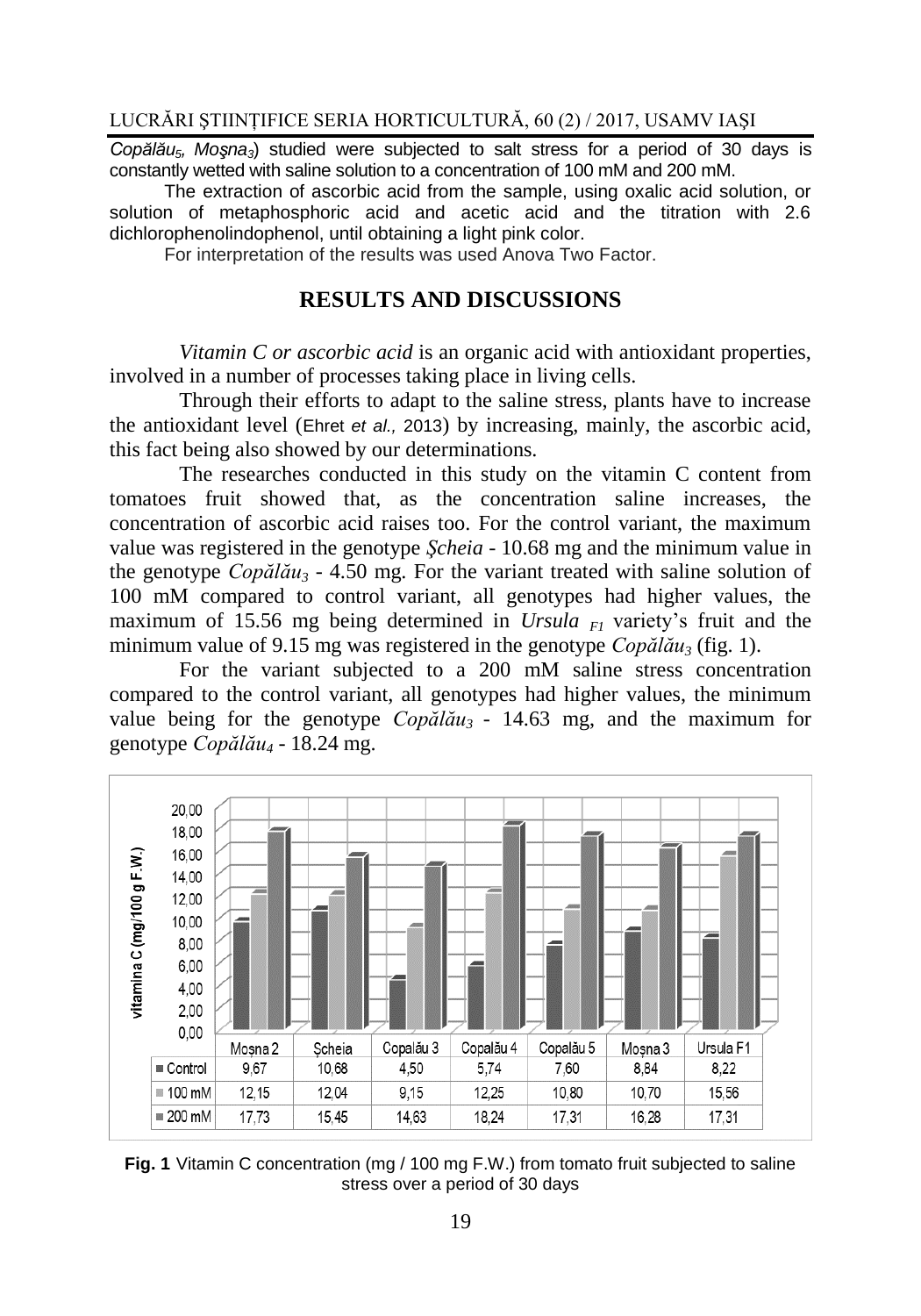### LUCRĂRI ŞTIINŢIFICE SERIA HORTICULTURĂ, 60 (2) / 2017, USAMV IAŞI

*Copălău5, Moşna3*) studied were subjected to salt stress for a period of 30 days is constantly wetted with saline solution to a concentration of 100 mM and 200 mM.

The extraction of ascorbic acid from the sample, using oxalic acid solution, or solution of metaphosphoric acid and acetic acid and the titration with 2.6 dichlorophenolindophenol, until obtaining a light pink color.

For interpretation of the results was used Anova Two Factor.

### **RESULTS AND DISCUSSIONS**

*Vitamin C or ascorbic acid* is an organic acid with antioxidant properties, involved in a number of processes taking place in living cells.

Through their efforts to adapt to the saline stress, plants have to increase the antioxidant level (Ehret *et al.,* 2013) by increasing, mainly, the ascorbic acid, this fact being also showed by our determinations.

The researches conducted in this study on the vitamin C content from tomatoes fruit showed that, as the concentration saline increases, the concentration of ascorbic acid raises too. For the control variant, the maximum value was registered in the genotype *Şcheia* - 10.68 mg and the minimum value in the genotype *Copălău<sup>3</sup>* - 4.50 mg. For the variant treated with saline solution of 100 mM compared to control variant, all genotypes had higher values, the maximum of 15.56 mg being determined in *Ursula*  $F_1$  variety's fruit and the minimum value of 9.15 mg was registered in the genotype  $\textit{Copălia}_3$  (fig. 1).

For the variant subjected to a 200 mM saline stress concentration compared to the control variant, all genotypes had higher values, the minimum value being for the genotype *Copălău3* - 14.63 mg, and the maximum for genotype *Copălău<sup>4</sup>* - 18.24 mg.



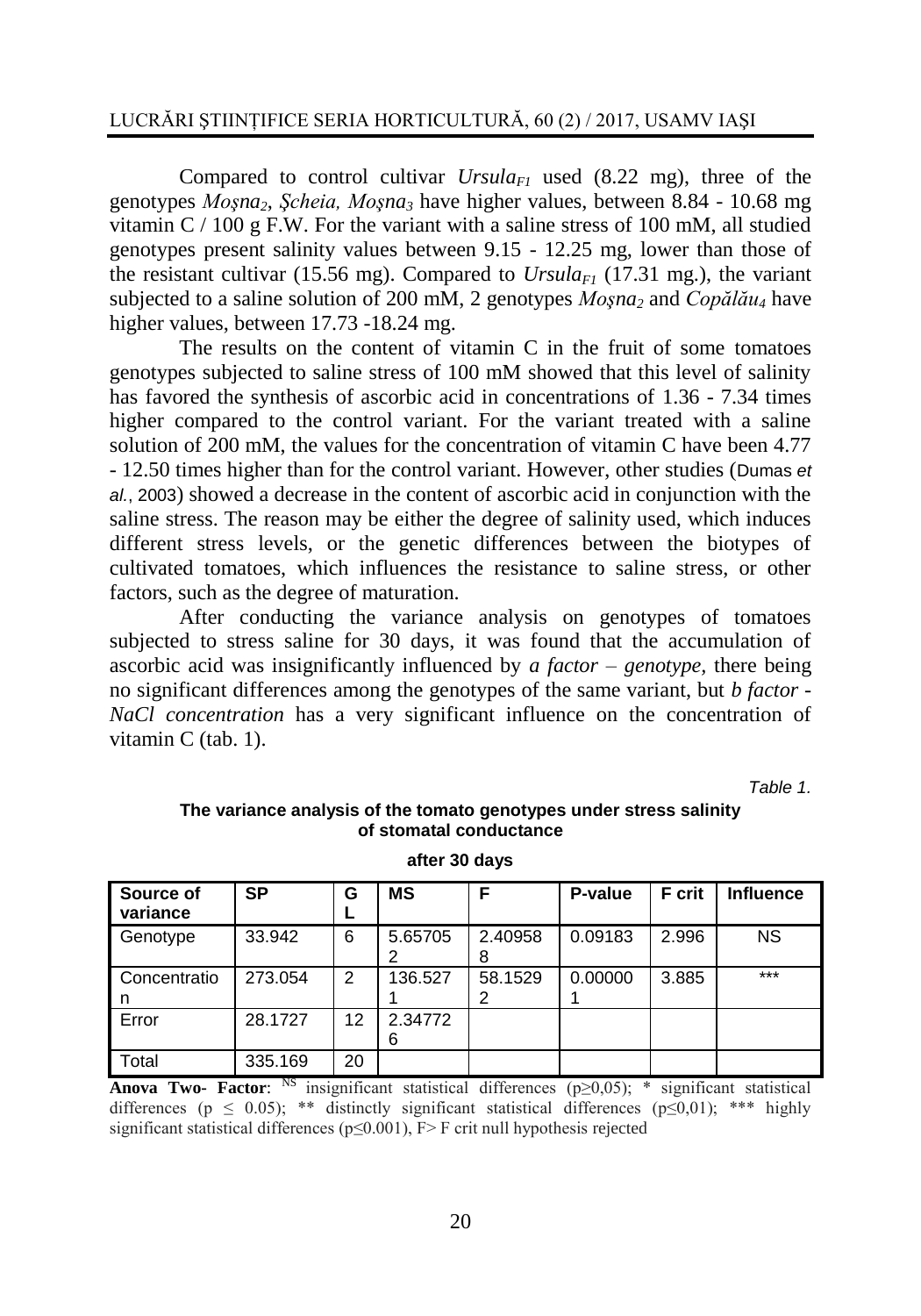Compared to control cultivar  $Ursula_{FI}$  used (8.22 mg), three of the genotypes *Moşna2*, *Şcheia, Moşna<sup>3</sup>* have higher values, between 8.84 - 10.68 mg vitamin  $C / 100$  g F.W. For the variant with a saline stress of 100 mM, all studied genotypes present salinity values between 9.15 - 12.25 mg, lower than those of the resistant cultivar (15.56 mg). Compared to *UrsulaF1* (17.31 mg.), the variant subjected to a saline solution of 200 mM, 2 genotypes *Moşna<sup>2</sup>* and *Copălău<sup>4</sup>* have higher values, between 17.73 -18.24 mg.

The results on the content of vitamin C in the fruit of some tomatoes genotypes subjected to saline stress of 100 mM showed that this level of salinity has favored the synthesis of ascorbic acid in concentrations of 1.36 - 7.34 times higher compared to the control variant. For the variant treated with a saline solution of 200 mM, the values for the concentration of vitamin C have been 4.77 - 12.50 times higher than for the control variant. However, other studies (Dumas *et al.*, 2003) showed a decrease in the content of ascorbic acid in conjunction with the saline stress. The reason may be either the degree of salinity used, which induces different stress levels, or the genetic differences between the biotypes of cultivated tomatoes, which influences the resistance to saline stress, or other factors, such as the degree of maturation.

After conducting the variance analysis on genotypes of tomatoes subjected to stress saline for 30 days, it was found that the accumulation of ascorbic acid was insignificantly influenced by *a factor – genotype,* there being no significant differences among the genotypes of the same variant, but *b factor - NaCl concentration* has a very significant influence on the concentration of vitamin C (tab. 1).

*Table 1.*

| after 30 days         |           |    |              |              |         |               |           |  |
|-----------------------|-----------|----|--------------|--------------|---------|---------------|-----------|--|
| Source of<br>variance | <b>SP</b> | G  | <b>MS</b>    | F            | P-value | <b>F</b> crit | Influence |  |
| Genotype              | 33.942    | 6  | 5.65705      | 2.40958<br>8 | 0.09183 | 2.996         | <b>NS</b> |  |
| Concentratio<br>n     | 273.054   | 2  | 136.527      | 58.1529      | 0.00000 | 3.885         | $***$     |  |
| Error                 | 28.1727   | 12 | 2.34772<br>6 |              |         |               |           |  |
| Total                 | 335.169   | 20 |              |              |         |               |           |  |

#### **The variance analysis of the tomato genotypes under stress salinity of stomatal conductance**

**Anova Two- Factor**: NS insignificant statistical differences (p≥0,05); \* significant statistical differences (p ≤ 0.05); \*\* distinctly significant statistical differences (p ≤ 0,01); \*\*\* highly significant statistical differences ( $p \le 0.001$ ),  $F > F$  crit null hypothesis rejected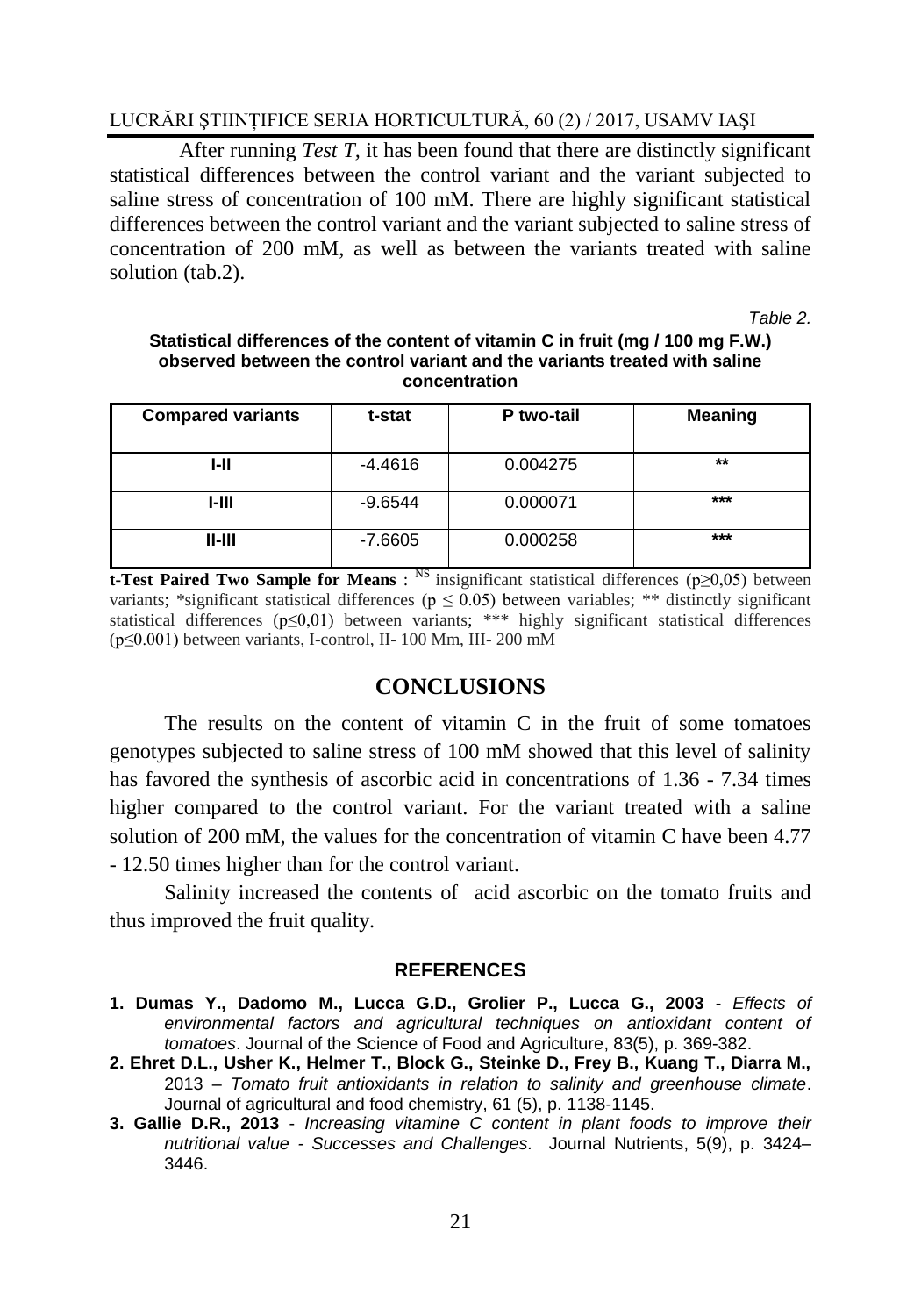## LUCRĂRI ŞTIINŢIFICE SERIA HORTICULTURĂ, 60 (2) / 2017, USAMV IAŞI

After running *Test T,* it has been found that there are distinctly significant statistical differences between the control variant and the variant subjected to saline stress of concentration of 100 mM. There are highly significant statistical differences between the control variant and the variant subjected to saline stress of concentration of 200 mM, as well as between the variants treated with saline solution (tab.2).

*Table 2.*

#### **Statistical differences of the content of vitamin C in fruit (mg / 100 mg F.W.) observed between the control variant and the variants treated with saline concentration**

| <b>Compared variants</b> | t-stat    | P two-tail | <b>Meaning</b> |
|--------------------------|-----------|------------|----------------|
| I-II                     | $-4.4616$ | 0.004275   | **             |
| I-III                    | $-9.6544$ | 0.000071   | $***$          |
| $II$ -III                | $-7.6605$ | 0.000258   | $***$          |

**t-Test Paired Two Sample for Means** : <sup>NS</sup> insignificant statistical differences (p≥0,05) between variants; \*significant statistical differences ( $p \le 0.05$ ) between variables; \*\* distinctly significant statistical differences ( $p \leq 0.01$ ) between variants; \*\*\* highly significant statistical differences (p≤0.001) between variants, I-control, II- 100 Mm, III- 200 mM

### **CONCLUSIONS**

The results on the content of vitamin C in the fruit of some tomatoes genotypes subjected to saline stress of 100 mM showed that this level of salinity has favored the synthesis of ascorbic acid in concentrations of 1.36 - 7.34 times higher compared to the control variant. For the variant treated with a saline solution of 200 mM, the values for the concentration of vitamin C have been 4.77 - 12.50 times higher than for the control variant.

Salinity increased the contents of acid ascorbic on the tomato fruits and thus improved the fruit quality.

#### **REFERENCES**

- **1. Dumas Y., Dadomo M., Lucca G.D., Grolier P., Lucca G., 2003** *Effects of environmental factors and agricultural techniques on antioxidant content of tomatoes*. Journal of the Science of Food and Agriculture, 83(5), p. 369-382.
- **2. Ehret D.L., Usher K., Helmer T., Block G., Steinke D., Frey B., Kuang T., Diarra M.,** 2013 – *Tomato fruit antioxidants in relation to salinity and greenhouse climate*. Journal of agricultural and food chemistry, 61 (5), p. 1138-1145.
- **3. Gallie D.R., 2013** *Increasing vitamine C content in plant foods to improve their nutritional value - Successes and Challenges.* Journal Nutrients, 5(9), p. 3424– 3446.